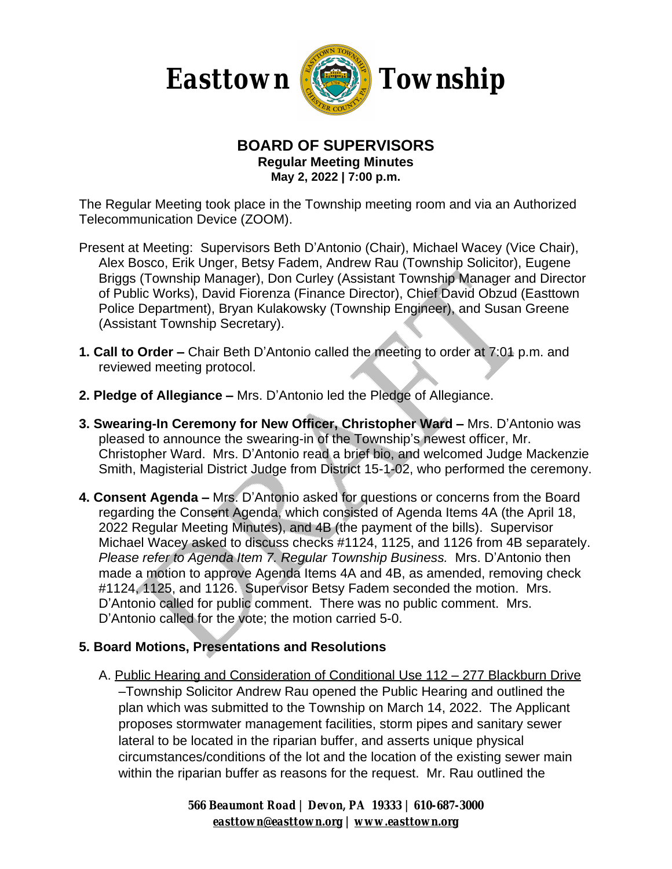

#### **BOARD OF SUPERVISORS Regular Meeting Minutes May 2, 2022 | 7:00 p.m.**

The Regular Meeting took place in the Township meeting room and via an Authorized Telecommunication Device (ZOOM).

- Present at Meeting: Supervisors Beth D'Antonio (Chair), Michael Wacey (Vice Chair), Alex Bosco, Erik Unger, Betsy Fadem, Andrew Rau (Township Solicitor), Eugene Briggs (Township Manager), Don Curley (Assistant Township Manager and Director of Public Works), David Fiorenza (Finance Director), Chief David Obzud (Easttown Police Department), Bryan Kulakowsky (Township Engineer), and Susan Greene (Assistant Township Secretary).
- **1. Call to Order –** Chair Beth D'Antonio called the meeting to order at 7:01 p.m. and reviewed meeting protocol.
- **2. Pledge of Allegiance –** Mrs. D'Antonio led the Pledge of Allegiance.
- **3. Swearing-In Ceremony for New Officer, Christopher Ward –** Mrs. D'Antonio was pleased to announce the swearing-in of the Township's newest officer, Mr. Christopher Ward. Mrs. D'Antonio read a brief bio, and welcomed Judge Mackenzie Smith, Magisterial District Judge from District 15-1-02, who performed the ceremony.
- **4. Consent Agenda –** Mrs. D'Antonio asked for questions or concerns from the Board regarding the Consent Agenda, which consisted of Agenda Items 4A (the April 18, 2022 Regular Meeting Minutes), and 4B (the payment of the bills). Supervisor Michael Wacey asked to discuss checks #1124, 1125, and 1126 from 4B separately. *Please refer to Agenda Item 7. Regular Township Business.* Mrs. D'Antonio then made a motion to approve Agenda Items 4A and 4B, as amended, removing check #1124, 1125, and 1126. Supervisor Betsy Fadem seconded the motion. Mrs. D'Antonio called for public comment. There was no public comment. Mrs. D'Antonio called for the vote; the motion carried 5-0.

### **5. Board Motions, Presentations and Resolutions**

A. Public Hearing and Consideration of Conditional Use 112 – 277 Blackburn Drive –Township Solicitor Andrew Rau opened the Public Hearing and outlined the plan which was submitted to the Township on March 14, 2022. The Applicant proposes stormwater management facilities, storm pipes and sanitary sewer lateral to be located in the riparian buffer, and asserts unique physical circumstances/conditions of the lot and the location of the existing sewer main within the riparian buffer as reasons for the request. Mr. Rau outlined the

> *566 Beaumont Road | Devon, PA 19333 | 610-687-3000 [easttown@easttown.org](mailto:easttown@easttown.org) | [www.easttown.org](http://www.easttown.org)*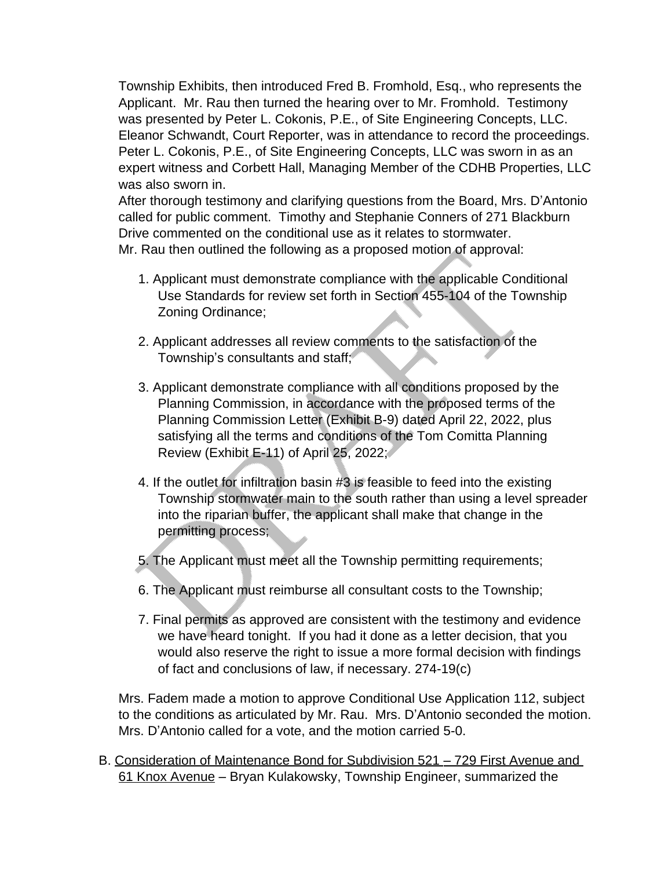Township Exhibits, then introduced Fred B. Fromhold, Esq., who represents the Applicant. Mr. Rau then turned the hearing over to Mr. Fromhold. Testimony was presented by Peter L. Cokonis, P.E., of Site Engineering Concepts, LLC. Eleanor Schwandt, Court Reporter, was in attendance to record the proceedings. Peter L. Cokonis, P.E., of Site Engineering Concepts, LLC was sworn in as an expert witness and Corbett Hall, Managing Member of the CDHB Properties, LLC was also sworn in.

After thorough testimony and clarifying questions from the Board, Mrs. D'Antonio called for public comment. Timothy and Stephanie Conners of 271 Blackburn Drive commented on the conditional use as it relates to stormwater. Mr. Rau then outlined the following as a proposed motion of approval:

- 1. Applicant must demonstrate compliance with the applicable Conditional Use Standards for review set forth in Section 455-104 of the Township Zoning Ordinance;
- 2. Applicant addresses all review comments to the satisfaction of the Township's consultants and staff;
- 3. Applicant demonstrate compliance with all conditions proposed by the Planning Commission, in accordance with the proposed terms of the Planning Commission Letter (Exhibit B-9) dated April 22, 2022, plus satisfying all the terms and conditions of the Tom Comitta Planning Review (Exhibit E-11) of April 25, 2022;
- 4. If the outlet for infiltration basin #3 is feasible to feed into the existing Township stormwater main to the south rather than using a level spreader into the riparian buffer, the applicant shall make that change in the permitting process;
- 5. The Applicant must meet all the Township permitting requirements;
- 6. The Applicant must reimburse all consultant costs to the Township;
- 7. Final permits as approved are consistent with the testimony and evidence we have heard tonight. If you had it done as a letter decision, that you would also reserve the right to issue a more formal decision with findings of fact and conclusions of law, if necessary. 274-19(c)

Mrs. Fadem made a motion to approve Conditional Use Application 112, subject to the conditions as articulated by Mr. Rau. Mrs. D'Antonio seconded the motion. Mrs. D'Antonio called for a vote, and the motion carried 5-0.

B. Consideration of Maintenance Bond for Subdivision 521 – 729 First Avenue and 61 Knox Avenue – Bryan Kulakowsky, Township Engineer, summarized the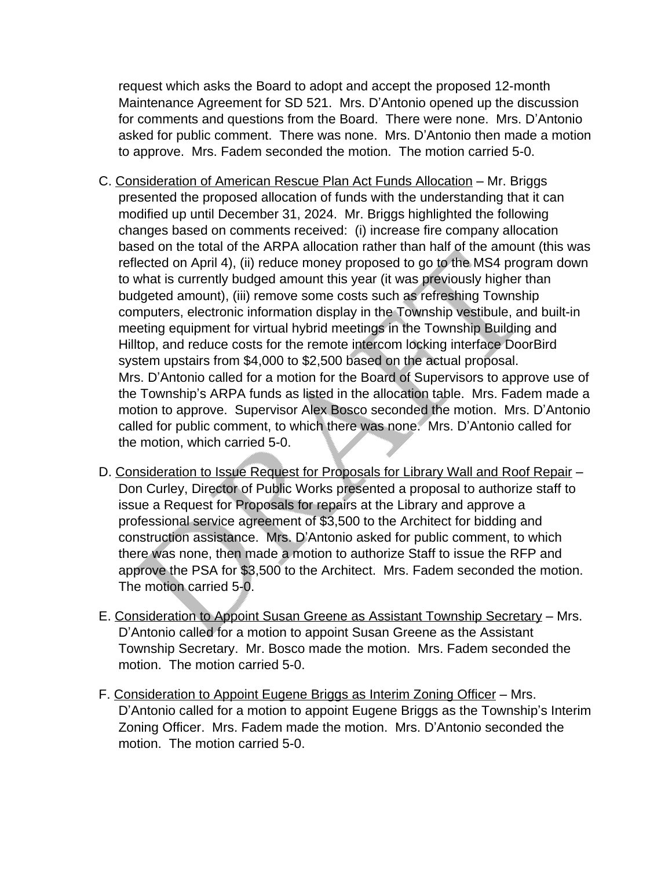request which asks the Board to adopt and accept the proposed 12-month Maintenance Agreement for SD 521. Mrs. D'Antonio opened up the discussion for comments and questions from the Board. There were none. Mrs. D'Antonio asked for public comment. There was none. Mrs. D'Antonio then made a motion to approve. Mrs. Fadem seconded the motion. The motion carried 5-0.

- C. Consideration of American Rescue Plan Act Funds Allocation Mr. Briggs presented the proposed allocation of funds with the understanding that it can modified up until December 31, 2024. Mr. Briggs highlighted the following changes based on comments received: (i) increase fire company allocation based on the total of the ARPA allocation rather than half of the amount (this was reflected on April 4), (ii) reduce money proposed to go to the MS4 program down to what is currently budged amount this year (it was previously higher than budgeted amount), (iii) remove some costs such as refreshing Township computers, electronic information display in the Township vestibule, and built-in meeting equipment for virtual hybrid meetings in the Township Building and Hilltop, and reduce costs for the remote intercom locking interface DoorBird system upstairs from \$4,000 to \$2,500 based on the actual proposal. Mrs. D'Antonio called for a motion for the Board of Supervisors to approve use of the Township's ARPA funds as listed in the allocation table. Mrs. Fadem made a motion to approve. Supervisor Alex Bosco seconded the motion. Mrs. D'Antonio called for public comment, to which there was none. Mrs. D'Antonio called for the motion, which carried 5-0.
- D. Consideration to Issue Request for Proposals for Library Wall and Roof Repair Don Curley, Director of Public Works presented a proposal to authorize staff to issue a Request for Proposals for repairs at the Library and approve a professional service agreement of \$3,500 to the Architect for bidding and construction assistance. Mrs. D'Antonio asked for public comment, to which there was none, then made a motion to authorize Staff to issue the RFP and approve the PSA for \$3,500 to the Architect. Mrs. Fadem seconded the motion. The motion carried 5-0.
- E. Consideration to Appoint Susan Greene as Assistant Township Secretary Mrs. D'Antonio called for a motion to appoint Susan Greene as the Assistant Township Secretary. Mr. Bosco made the motion. Mrs. Fadem seconded the motion. The motion carried 5-0.
- F. Consideration to Appoint Eugene Briggs as Interim Zoning Officer Mrs. D'Antonio called for a motion to appoint Eugene Briggs as the Township's Interim Zoning Officer. Mrs. Fadem made the motion. Mrs. D'Antonio seconded the motion. The motion carried 5-0.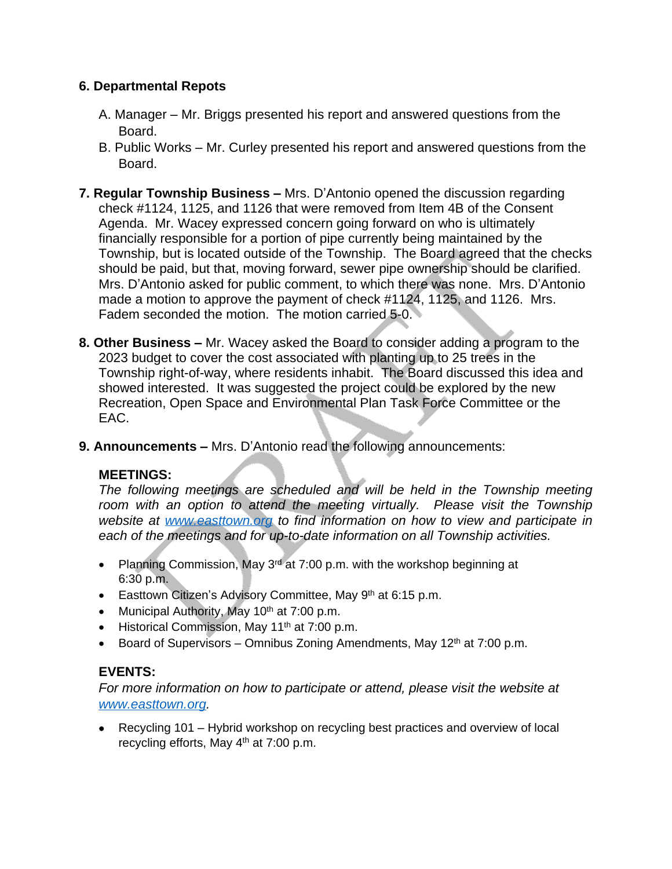# **6. Departmental Repots**

- A. Manager Mr. Briggs presented his report and answered questions from the Board.
- B. Public Works Mr. Curley presented his report and answered questions from the Board.
- **7. Regular Township Business –** Mrs. D'Antonio opened the discussion regarding check #1124, 1125, and 1126 that were removed from Item 4B of the Consent Agenda. Mr. Wacey expressed concern going forward on who is ultimately financially responsible for a portion of pipe currently being maintained by the Township, but is located outside of the Township. The Board agreed that the checks should be paid, but that, moving forward, sewer pipe ownership should be clarified. Mrs. D'Antonio asked for public comment, to which there was none. Mrs. D'Antonio made a motion to approve the payment of check #1124, 1125, and 1126. Mrs. Fadem seconded the motion. The motion carried 5-0.
- **8. Other Business –** Mr. Wacey asked the Board to consider adding a program to the 2023 budget to cover the cost associated with planting up to 25 trees in the Township right-of-way, where residents inhabit. The Board discussed this idea and showed interested. It was suggested the project could be explored by the new Recreation, Open Space and Environmental Plan Task Force Committee or the EAC.
- **9. Announcements –** Mrs. D'Antonio read the following announcements:

### **MEETINGS:**

*The following meetings are scheduled and will be held in the Township meeting room with an option to attend the meeting virtually. Please visit the Township website at [www.easttown.org](http://www.easttown.org) to find information on how to view and participate in each of the meetings and for up-to-date information on all Township activities.*

- Planning Commission, May  $3^{rd}$  at 7:00 p.m. with the workshop beginning at 6:30 p.m.
- Easttown Citizen's Advisory Committee, May  $9<sup>th</sup>$  at 6:15 p.m.
- Municipal Authority, May  $10^{th}$  at 7:00 p.m.
- **Historical Commission, May 11<sup>th</sup> at 7:00 p.m.**
- Board of Supervisors Omnibus Zoning Amendments, May  $12<sup>th</sup>$  at  $7:00$  p.m.

### **EVENTS:**

*For more information on how to participate or attend, please visit the website at [www.easttown.org](http://www.easttown.org).*

 Recycling 101 – Hybrid workshop on recycling best practices and overview of local recycling efforts, May 4th at 7:00 p.m.